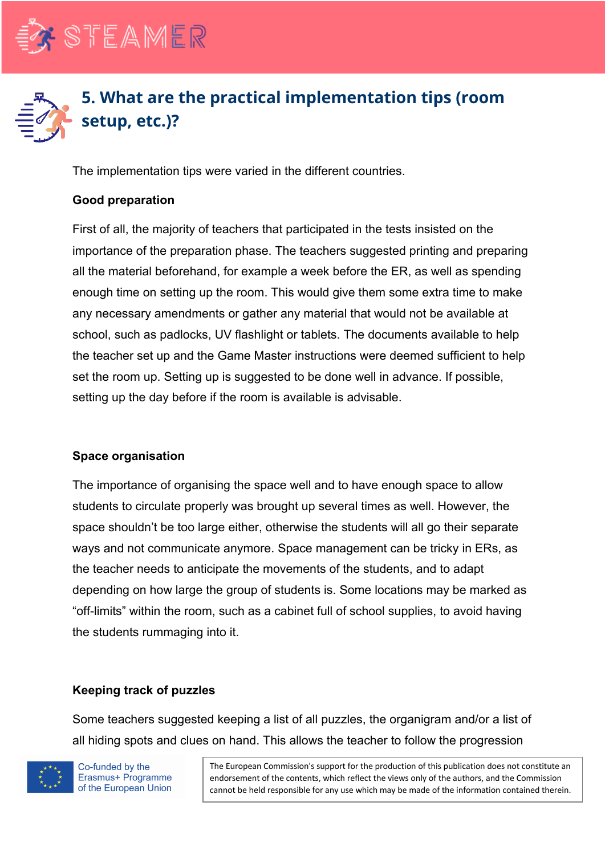



The implementation tips were varied in the different countries.

### **Good preparation**

First of all, the majority of teachers that participated in the tests insisted on the importance of the preparation phase. The teachers suggested printing and preparing all the material beforehand, for example a week before the ER, as well as spending enough time on setting up the room. This would give them some extra time to make any necessary amendments or gather any material that would not be available at school, such as padlocks, UV flashlight or tablets. The documents available to help the teacher set up and the Game Master instructions were deemed sufficient to help set the room up. Setting up is suggested to be done well in advance. If possible, setting up the day before if the room is available is advisable.

#### **Space organisation**

The importance of organising the space well and to have enough space to allow students to circulate properly was brought up several times as well. However, the space shouldn't be too large either, otherwise the students will all go their separate ways and not communicate anymore. Space management can be tricky in ERs, as the teacher needs to anticipate the movements of the students, and to adapt depending on how large the group of students is. Some locations may be marked as "off-limits" within the room, such as a cabinet full of school supplies, to avoid having the students rummaging into it.

# **Keeping track of puzzles**

Some teachers suggested keeping a list of all puzzles, the organigram and/or a list of all hiding spots and clues on hand. This allows the teacher to follow the progression



Co-funded by the Erasmus+ Programme of the European Union The European Commission's support for the production of this publication does not constitute an endorsement of the contents, which reflect the views only of the authors, and the Commission cannot be held responsible for any use which may be made of the information contained therein.